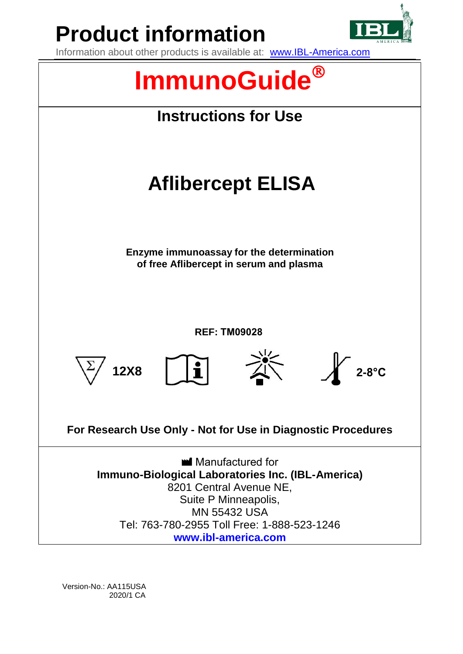

Version-No.: AA115USA 2020/1 CA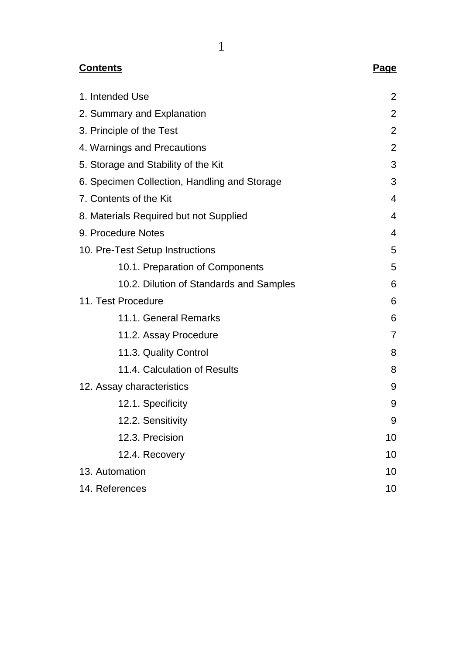| <b>Contents</b>                              | <b>Page</b>    |
|----------------------------------------------|----------------|
| 1. Intended Use                              | 2              |
| 2. Summary and Explanation                   | 2              |
| 3. Principle of the Test                     | 2              |
| 4. Warnings and Precautions                  | $\overline{c}$ |
| 5. Storage and Stability of the Kit          | 3              |
| 6. Specimen Collection, Handling and Storage | 3              |
| 7. Contents of the Kit                       | 4              |
| 8. Materials Required but not Supplied       | 4              |
| 9. Procedure Notes                           | 4              |
| 10. Pre-Test Setup Instructions              | 5              |
| 10.1. Preparation of Components              | 5              |
| 10.2. Dilution of Standards and Samples      | 6              |
| 11. Test Procedure                           | 6              |
| 11.1. General Remarks                        | 6              |
| 11.2. Assay Procedure                        | $\overline{7}$ |
| 11.3. Quality Control                        | 8              |
| 11.4. Calculation of Results                 | 8              |
| 12. Assay characteristics                    | 9              |
| 12.1. Specificity                            | 9              |
| 12.2. Sensitivity                            | 9              |
| 12.3. Precision                              | 10             |
| 12.4. Recovery                               | 10             |
| 13. Automation                               | 10             |
| 14. References                               | 10             |

1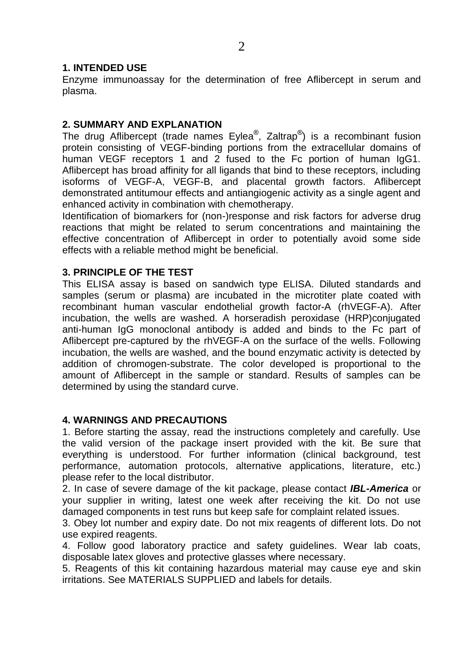## **1. INTENDED USE**

Enzyme immunoassay for the determination of free Aflibercept in serum and plasma.

### **2. SUMMARY AND EXPLANATION**

The drug Aflibercept (trade names Eylea®, Zaltrap®) is a recombinant fusion protein consisting of VEGF-binding portions from the extracellular domains of human VEGF receptors 1 and 2 fused to the Fc portion of human IgG1. Aflibercept has broad affinity for all ligands that bind to these receptors, including isoforms of VEGF-A, VEGF-B, and placental growth factors. Aflibercept demonstrated antitumour effects and antiangiogenic activity as a single agent and enhanced activity in combination with chemotherapy.

Identification of biomarkers for (non-)response and risk factors for adverse drug reactions that might be related to serum concentrations and maintaining the effective concentration of Aflibercept in order to potentially avoid some side effects with a reliable method might be beneficial.

### **3. PRINCIPLE OF THE TEST**

This ELISA assay is based on sandwich type ELISA. Diluted standards and samples (serum or plasma) are incubated in the microtiter plate coated with recombinant human vascular endothelial growth factor-A (rhVEGF-A). After incubation, the wells are washed. A horseradish peroxidase (HRP)conjugated anti-human IgG monoclonal antibody is added and binds to the Fc part of Aflibercept pre-captured by the rhVEGF-A on the surface of the wells. Following incubation, the wells are washed, and the bound enzymatic activity is detected by addition of chromogen-substrate. The color developed is proportional to the amount of Aflibercept in the sample or standard. Results of samples can be determined by using the standard curve.

#### **4. WARNINGS AND PRECAUTIONS**

1. Before starting the assay, read the instructions completely and carefully. Use the valid version of the package insert provided with the kit. Be sure that everything is understood. For further information (clinical background, test performance, automation protocols, alternative applications, literature, etc.) please refer to the local distributor.

2. In case of severe damage of the kit package, please contact *IBL-America* or your supplier in writing, latest one week after receiving the kit. Do not use damaged components in test runs but keep safe for complaint related issues.

3. Obey lot number and expiry date. Do not mix reagents of different lots. Do not use expired reagents.

4. Follow good laboratory practice and safety guidelines. Wear lab coats, disposable latex gloves and protective glasses where necessary.

5. Reagents of this kit containing hazardous material may cause eye and skin irritations. See MATERIALS SUPPLIED and labels for details.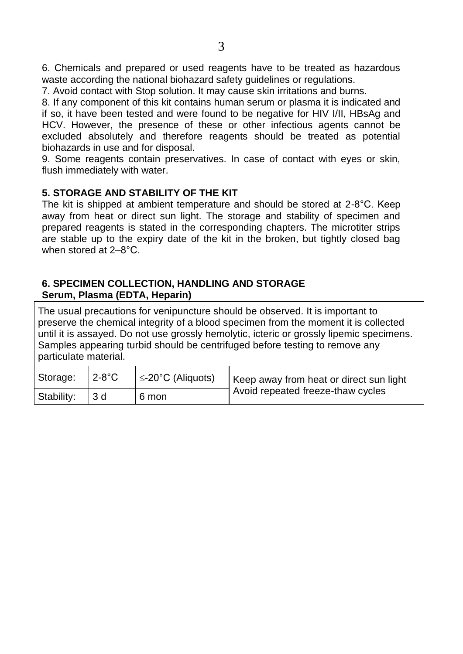7. Avoid contact with Stop solution. It may cause skin irritations and burns.

8. If any component of this kit contains human serum or plasma it is indicated and

if so, it have been tested and were found to be negative for HIV I/II, HBsAg and HCV. However, the presence of these or other infectious agents cannot be excluded absolutely and therefore reagents should be treated as potential biohazards in use and for disposal.

9. Some reagents contain preservatives. In case of contact with eyes or skin, flush immediately with water.

## **5. STORAGE AND STABILITY OF THE KIT**

The kit is shipped at ambient temperature and should be stored at 2-8°C. Keep away from heat or direct sun light. The storage and stability of specimen and prepared reagents is stated in the corresponding chapters. The microtiter strips are stable up to the expiry date of the kit in the broken, but tightly closed bag when stored at 2–8°C.

## **6. SPECIMEN COLLECTION, HANDLING AND STORAGE Serum, Plasma (EDTA, Heparin)**

The usual precautions for venipuncture should be observed. It is important to preserve the chemical integrity of a blood specimen from the moment it is collected until it is assayed. Do not use grossly hemolytic, icteric or grossly lipemic specimens. Samples appearing turbid should be centrifuged before testing to remove any particulate material.

| Storage:   | $12-8$ °C       | $\leq$ -20°C (Aliquots) | Keep away from heat or direct sun light |  |  |  |
|------------|-----------------|-------------------------|-----------------------------------------|--|--|--|
| Stability: | 13 d<br>l 6 mon |                         | Avoid repeated freeze-thaw cycles       |  |  |  |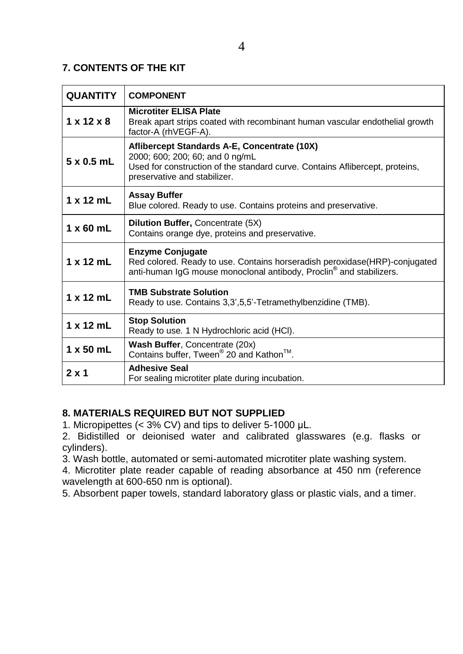# **7. CONTENTS OF THE KIT**

| <b>QUANTITY</b>        | <b>COMPONENT</b>                                                                                                                                                                                |  |  |  |
|------------------------|-------------------------------------------------------------------------------------------------------------------------------------------------------------------------------------------------|--|--|--|
| $1 \times 12 \times 8$ | <b>Microtiter ELISA Plate</b><br>Break apart strips coated with recombinant human vascular endothelial growth<br>factor-A (rhVEGF-A).                                                           |  |  |  |
| $5 \times 0.5$ mL      | Aflibercept Standards A-E, Concentrate (10X)<br>2000; 600; 200; 60; and 0 ng/mL<br>Used for construction of the standard curve. Contains Aflibercept, proteins,<br>preservative and stabilizer. |  |  |  |
| $1 \times 12$ mL       | <b>Assay Buffer</b><br>Blue colored. Ready to use. Contains proteins and preservative.                                                                                                          |  |  |  |
| $1 \times 60$ mL       | Dilution Buffer, Concentrate (5X)<br>Contains orange dye, proteins and preservative.                                                                                                            |  |  |  |
| $1 \times 12$ mL       | <b>Enzyme Conjugate</b><br>Red colored. Ready to use. Contains horseradish peroxidase (HRP)-conjugated<br>anti-human IgG mouse monoclonal antibody, Proclin <sup>®</sup> and stabilizers.       |  |  |  |
| $1 \times 12$ mL       | <b>TMB Substrate Solution</b><br>Ready to use. Contains 3,3',5,5'-Tetramethylbenzidine (TMB).                                                                                                   |  |  |  |
| $1 \times 12$ mL       | <b>Stop Solution</b><br>Ready to use. 1 N Hydrochloric acid (HCI).                                                                                                                              |  |  |  |
| $1 \times 50$ mL       | Wash Buffer, Concentrate (20x)<br>Contains buffer, Tween <sup>®</sup> 20 and Kathon <sup>™</sup> .                                                                                              |  |  |  |
| $2 \times 1$           | <b>Adhesive Seal</b><br>For sealing microtiter plate during incubation.                                                                                                                         |  |  |  |

# **8. MATERIALS REQUIRED BUT NOT SUPPLIED**

1. Micropipettes (< 3% CV) and tips to deliver 5-1000 µL.

2. Bidistilled or deionised water and calibrated glasswares (e.g. flasks or cylinders).

3. Wash bottle, automated or semi-automated microtiter plate washing system.

4. Microtiter plate reader capable of reading absorbance at 450 nm (reference wavelength at 600-650 nm is optional).

5. Absorbent paper towels, standard laboratory glass or plastic vials, and a timer.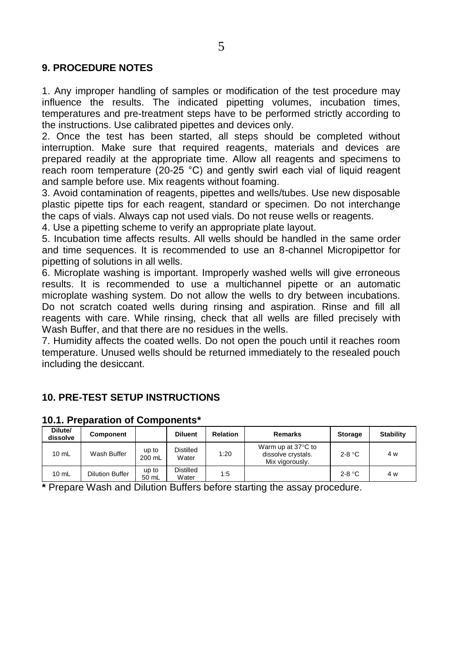## **9. PROCEDURE NOTES**

1. Any improper handling of samples or modification of the test procedure may influence the results. The indicated pipetting volumes, incubation times, temperatures and pre-treatment steps have to be performed strictly according to the instructions. Use calibrated pipettes and devices only.

2. Once the test has been started, all steps should be completed without interruption. Make sure that required reagents, materials and devices are prepared readily at the appropriate time. Allow all reagents and specimens to reach room temperature (20-25 °C) and gently swirl each vial of liquid reagent and sample before use. Mix reagents without foaming.

3. Avoid contamination of reagents, pipettes and wells/tubes. Use new disposable plastic pipette tips for each reagent, standard or specimen. Do not interchange the caps of vials. Always cap not used vials. Do not reuse wells or reagents.

4. Use a pipetting scheme to verify an appropriate plate layout.

5. Incubation time affects results. All wells should be handled in the same order and time sequences. It is recommended to use an 8-channel Micropipettor for pipetting of solutions in all wells.

6. Microplate washing is important. Improperly washed wells will give erroneous results. It is recommended to use a multichannel pipette or an automatic microplate washing system. Do not allow the wells to dry between incubations. Do not scratch coated wells during rinsing and aspiration. Rinse and fill all reagents with care. While rinsing, check that all wells are filled precisely with Wash Buffer, and that there are no residues in the wells.

7. Humidity affects the coated wells. Do not open the pouch until it reaches room temperature. Unused wells should be returned immediately to the resealed pouch including the desiccant.

# **10. PRE-TEST SETUP INSTRUCTIONS**

| Dilute/<br>dissolve | <b>Component</b>       |                 | <b>Diluent</b>            | <b>Relation</b> | Remarks                                                     | <b>Storage</b> | <b>Stability</b> |
|---------------------|------------------------|-----------------|---------------------------|-----------------|-------------------------------------------------------------|----------------|------------------|
| $10$ mL             | Wash Buffer            | up to<br>200 mL | <b>Distilled</b><br>Water | 1:20            | Warm up at 37°C to<br>dissolve crystals.<br>Mix vigorously. | $2-8$ °C       | 4 w              |
| $10$ mL             | <b>Dilution Buffer</b> | up to<br>50 mL  | <b>Distilled</b><br>Water | 1:5             |                                                             | $2-8$ °C       | 4 w              |

#### **10.1. Preparation of Components\***

**\*** Prepare Wash and Dilution Buffers before starting the assay procedure.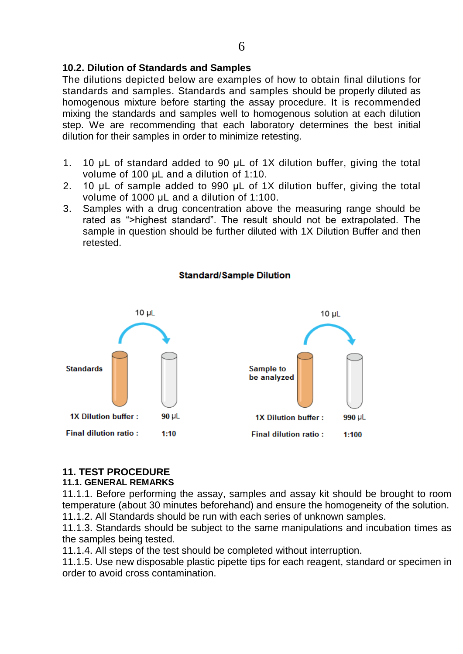## **10.2. Dilution of Standards and Samples**

The dilutions depicted below are examples of how to obtain final dilutions for standards and samples. Standards and samples should be properly diluted as homogenous mixture before starting the assay procedure. It is recommended mixing the standards and samples well to homogenous solution at each dilution step. We are recommending that each laboratory determines the best initial dilution for their samples in order to minimize retesting.

- 1. 10 µL of standard added to 90 µL of 1X dilution buffer, giving the total volume of 100 µL and a dilution of 1:10.
- 2. 10 µL of sample added to 990 µL of 1X dilution buffer, giving the total volume of 1000 µL and a dilution of 1:100.
- 3. Samples with a drug concentration above the measuring range should be rated as ">highest standard". The result should not be extrapolated. The sample in question should be further diluted with 1X Dilution Buffer and then retested.



#### **Standard/Sample Dilution**

#### **11. TEST PROCEDURE**

## **11.1. GENERAL REMARKS**

11.1.1. Before performing the assay, samples and assay kit should be brought to room temperature (about 30 minutes beforehand) and ensure the homogeneity of the solution. 11.1.2. All Standards should be run with each series of unknown samples.

11.1.3. Standards should be subject to the same manipulations and incubation times as the samples being tested.

11.1.4. All steps of the test should be completed without interruption.

11.1.5. Use new disposable plastic pipette tips for each reagent, standard or specimen in order to avoid cross contamination.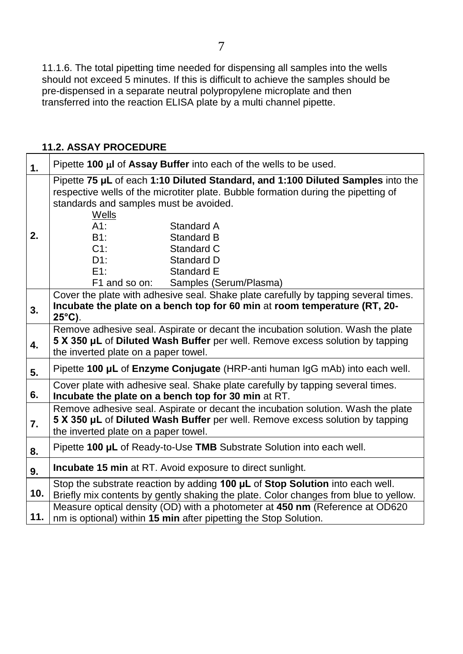11.1.6. The total pipetting time needed for dispensing all samples into the wells should not exceed 5 minutes. If this is difficult to achieve the samples should be pre-dispensed in a separate neutral polypropylene microplate and then transferred into the reaction ELISA plate by a multi channel pipette.

## **11.2. ASSAY PROCEDURE**

| 1.  | Pipette 100 µl of Assay Buffer into each of the wells to be used.                                                            |  |  |  |  |  |  |  |
|-----|------------------------------------------------------------------------------------------------------------------------------|--|--|--|--|--|--|--|
|     | Pipette 75 µL of each 1:10 Diluted Standard, and 1:100 Diluted Samples into the                                              |  |  |  |  |  |  |  |
|     | respective wells of the microtiter plate. Bubble formation during the pipetting of<br>standards and samples must be avoided. |  |  |  |  |  |  |  |
|     |                                                                                                                              |  |  |  |  |  |  |  |
|     | Wells<br>$A1$ :<br>Standard A                                                                                                |  |  |  |  |  |  |  |
| 2.  | B1:<br>Standard B                                                                                                            |  |  |  |  |  |  |  |
|     | $C1$ :<br>Standard C                                                                                                         |  |  |  |  |  |  |  |
|     | D1:<br>Standard D                                                                                                            |  |  |  |  |  |  |  |
|     | E1:<br>Standard E                                                                                                            |  |  |  |  |  |  |  |
|     | F1 and so on:<br>Samples (Serum/Plasma)                                                                                      |  |  |  |  |  |  |  |
|     | Cover the plate with adhesive seal. Shake plate carefully by tapping several times.                                          |  |  |  |  |  |  |  |
| 3.  | Incubate the plate on a bench top for 60 min at room temperature (RT, 20-                                                    |  |  |  |  |  |  |  |
|     | $25^{\circ}$ C).                                                                                                             |  |  |  |  |  |  |  |
|     | Remove adhesive seal. Aspirate or decant the incubation solution. Wash the plate                                             |  |  |  |  |  |  |  |
| 4.  | 5 X 350 µL of Diluted Wash Buffer per well. Remove excess solution by tapping<br>the inverted plate on a paper towel.        |  |  |  |  |  |  |  |
|     |                                                                                                                              |  |  |  |  |  |  |  |
| 5.  | Pipette 100 µL of Enzyme Conjugate (HRP-anti human IgG mAb) into each well.                                                  |  |  |  |  |  |  |  |
|     | Cover plate with adhesive seal. Shake plate carefully by tapping several times.                                              |  |  |  |  |  |  |  |
| 6.  | Incubate the plate on a bench top for 30 min at RT.                                                                          |  |  |  |  |  |  |  |
|     | Remove adhesive seal. Aspirate or decant the incubation solution. Wash the plate                                             |  |  |  |  |  |  |  |
| 7.  | 5 X 350 µL of Diluted Wash Buffer per well. Remove excess solution by tapping                                                |  |  |  |  |  |  |  |
|     | the inverted plate on a paper towel.                                                                                         |  |  |  |  |  |  |  |
| 8.  | Pipette 100 µL of Ready-to-Use TMB Substrate Solution into each well.                                                        |  |  |  |  |  |  |  |
| 9.  | <b>Incubate 15 min</b> at RT. Avoid exposure to direct sunlight.                                                             |  |  |  |  |  |  |  |
|     | Stop the substrate reaction by adding 100 µL of Stop Solution into each well.                                                |  |  |  |  |  |  |  |
| 10. | Briefly mix contents by gently shaking the plate. Color changes from blue to yellow.                                         |  |  |  |  |  |  |  |
|     | Measure optical density (OD) with a photometer at 450 nm (Reference at OD620                                                 |  |  |  |  |  |  |  |
| 11. | nm is optional) within 15 min after pipetting the Stop Solution.                                                             |  |  |  |  |  |  |  |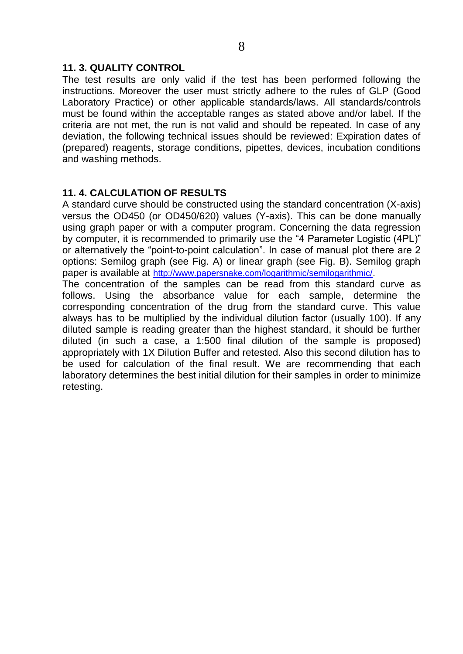### **11. 3. QUALITY CONTROL**

The test results are only valid if the test has been performed following the instructions. Moreover the user must strictly adhere to the rules of GLP (Good Laboratory Practice) or other applicable standards/laws. All standards/controls must be found within the acceptable ranges as stated above and/or label. If the criteria are not met, the run is not valid and should be repeated. In case of any deviation, the following technical issues should be reviewed: Expiration dates of (prepared) reagents, storage conditions, pipettes, devices, incubation conditions and washing methods.

# **11. 4. CALCULATION OF RESULTS**

A standard curve should be constructed using the standard concentration (X-axis) versus the OD450 (or OD450/620) values (Y-axis). This can be done manually using graph paper or with a computer program. Concerning the data regression by computer, it is recommended to primarily use the "4 Parameter Logistic (4PL)" or alternatively the "point-to-point calculation". In case of manual plot there are 2 options: Semilog graph (see Fig. A) or linear graph (see Fig. B). Semilog graph paper is available at [http://www.papersnake.com/logarithmic/semilogarithmic/.](http://www.papersnake.com/logarithmic/semilogarithmic/) The concentration of the samples can be read from this standard curve as follows. Using the absorbance value for each sample, determine the corresponding concentration of the drug from the standard curve. This value always has to be multiplied by the individual dilution factor (usually 100). If any diluted sample is reading greater than the highest standard, it should be further

diluted (in such a case, a 1:500 final dilution of the sample is proposed) appropriately with 1X Dilution Buffer and retested. Also this second dilution has to be used for calculation of the final result. We are recommending that each laboratory determines the best initial dilution for their samples in order to minimize retesting.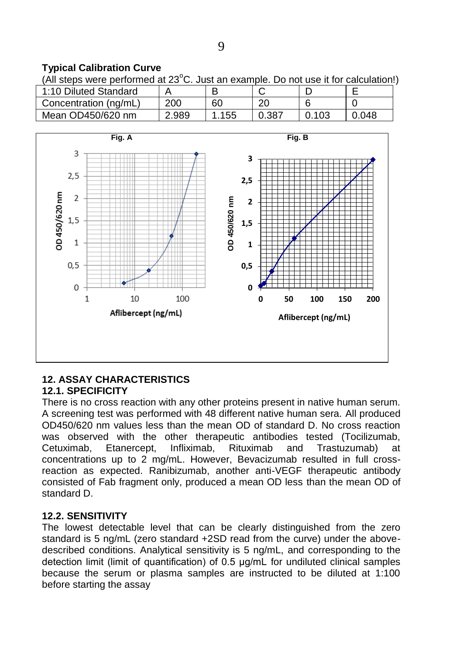# **Typical Calibration Curve**

(All steps were performed at  $23^{\circ}$ C. Just an example. Do not use it for calculation!)

| 1:10 Diluted Standard |       |     |       |      |     |
|-----------------------|-------|-----|-------|------|-----|
| Concentration (ng/mL) | 200   | 60  | 20    |      |     |
| Mean OD450/620 nm     | 2.989 | 155 | 0.387 | .103 | 048 |



#### **12. ASSAY CHARACTERISTICS 12.1. SPECIFICITY**

There is no cross reaction with any other proteins present in native human serum. A screening test was performed with 48 different native human sera. All produced OD450/620 nm values less than the mean OD of standard D. No cross reaction was observed with the other therapeutic antibodies tested (Tocilizumab, Cetuximab, Etanercept, Infliximab, Rituximab and Trastuzumab) at concentrations up to 2 mg/mL. However, Bevacizumab resulted in full crossreaction as expected. Ranibizumab, another anti-VEGF therapeutic antibody consisted of Fab fragment only, produced a mean OD less than the mean OD of standard D.

# **12.2. SENSITIVITY**

The lowest detectable level that can be clearly distinguished from the zero standard is 5 ng/mL (zero standard +2SD read from the curve) under the abovedescribed conditions. Analytical sensitivity is 5 ng/mL, and corresponding to the detection limit (limit of quantification) of 0.5 µg/mL for undiluted clinical samples because the serum or plasma samples are instructed to be diluted at 1:100 before starting the assay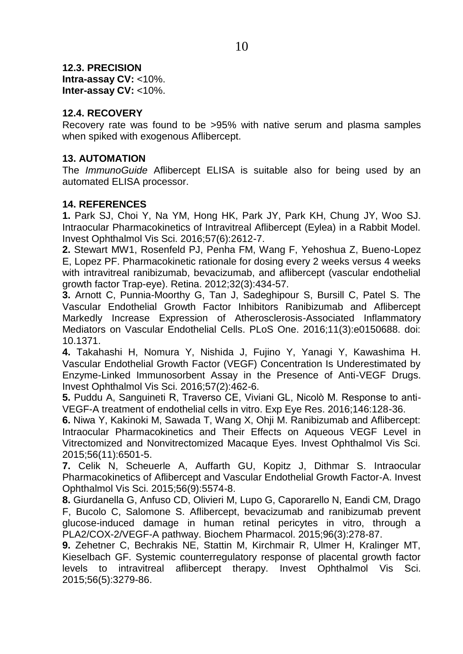**12.3. PRECISION Intra-assay CV:** <10%. **Inter-assay CV:** <10%.

## **12.4. RECOVERY**

Recovery rate was found to be >95% with native serum and plasma samples when spiked with exogenous Aflibercept.

## **13. AUTOMATION**

The *ImmunoGuide* Aflibercept ELISA is suitable also for being used by an automated ELISA processor.

## **14. REFERENCES**

**1.** Park SJ, Choi Y, Na YM, Hong HK, Park JY, Park KH, Chung JY, Woo SJ. Intraocular Pharmacokinetics of Intravitreal Aflibercept (Eylea) in a Rabbit Model. Invest Ophthalmol Vis Sci. 2016;57(6):2612-7.

**2.** Stewart MW1, Rosenfeld PJ, Penha FM, Wang F, Yehoshua Z, Bueno-Lopez E, Lopez PF. Pharmacokinetic rationale for dosing every 2 weeks versus 4 weeks with intravitreal ranibizumab, bevacizumab, and aflibercept (vascular endothelial growth factor Trap-eye). Retina. 2012;32(3):434-57.

**3.** Arnott C, Punnia-Moorthy G, Tan J, Sadeghipour S, Bursill C, Patel S. The Vascular Endothelial Growth Factor Inhibitors Ranibizumab and Aflibercept Markedly Increase Expression of Atherosclerosis-Associated Inflammatory Mediators on Vascular Endothelial Cells. PLoS One. 2016;11(3):e0150688. doi: 10.1371.

**4.** Takahashi H, Nomura Y, Nishida J, Fujino Y, Yanagi Y, Kawashima H. Vascular Endothelial Growth Factor (VEGF) Concentration Is Underestimated by Enzyme-Linked Immunosorbent Assay in the Presence of Anti-VEGF Drugs. Invest Ophthalmol Vis Sci. 2016;57(2):462-6.

**5.** Puddu A, Sanguineti R, Traverso CE, Viviani GL, Nicolò M. Response to anti-VEGF-A treatment of endothelial cells in vitro. Exp Eye Res. 2016;146:128-36.

**6.** Niwa Y, Kakinoki M, Sawada T, Wang X, Ohji M. Ranibizumab and Aflibercept: Intraocular Pharmacokinetics and Their Effects on Aqueous VEGF Level in Vitrectomized and Nonvitrectomized Macaque Eyes. Invest Ophthalmol Vis Sci. 2015;56(11):6501-5.

**7.** Celik N, Scheuerle A, Auffarth GU, Kopitz J, Dithmar S. [Intraocular](http://www.ncbi.nlm.nih.gov/pubmed/26305529)  Pharmacokinetics of Aflibercept [and Vascular Endothelial Growth Factor-A.](http://www.ncbi.nlm.nih.gov/pubmed/26305529) Invest Ophthalmol Vis Sci. 2015;56(9):5574-8.

**8.** Giurdanella G, Anfuso CD, Olivieri M, Lupo G, Caporarello N, Eandi CM, Drago F, Bucolo C, Salomone S. [Aflibercept, bevacizumab and ranibizumab prevent](http://www.ncbi.nlm.nih.gov/pubmed/26056075)  [glucose-induced damage in human retinal pericytes in vitro, through a](http://www.ncbi.nlm.nih.gov/pubmed/26056075)  [PLA2/COX-2/VEGF-A pathway.](http://www.ncbi.nlm.nih.gov/pubmed/26056075) Biochem Pharmacol. 2015;96(3):278-87.

**9.** Zehetner C, Bechrakis NE, Stattin M, Kirchmair R, Ulmer H, Kralinger MT, Kieselbach GF. [Systemic counterregulatory response of placental growth factor](http://www.ncbi.nlm.nih.gov/pubmed/26024110)  [levels to intravitreal aflibercept](http://www.ncbi.nlm.nih.gov/pubmed/26024110) therapy. Invest Ophthalmol Vis Sci. 2015;56(5):3279-86.